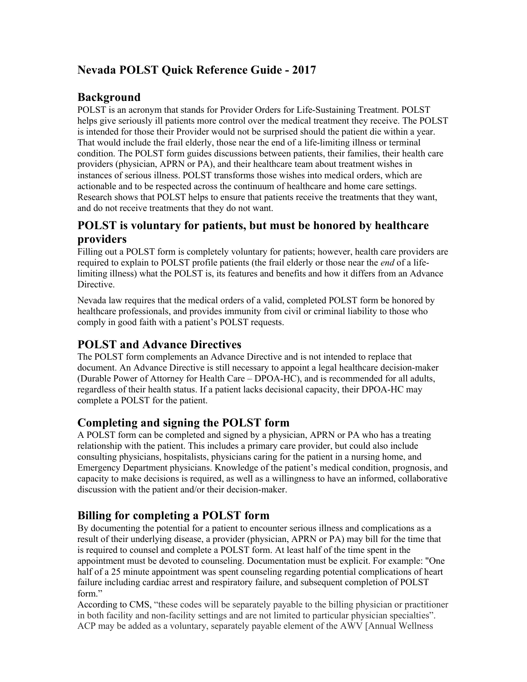# **Nevada POLST Quick Reference Guide - 2017**

## **Background**

POLST is an acronym that stands for Provider Orders for Life-Sustaining Treatment. POLST helps give seriously ill patients more control over the medical treatment they receive. The POLST is intended for those their Provider would not be surprised should the patient die within a year. That would include the frail elderly, those near the end of a life-limiting illness or terminal condition. The POLST form guides discussions between patients, their families, their health care providers (physician, APRN or PA), and their healthcare team about treatment wishes in instances of serious illness. POLST transforms those wishes into medical orders, which are actionable and to be respected across the continuum of healthcare and home care settings. Research shows that POLST helps to ensure that patients receive the treatments that they want, and do not receive treatments that they do not want.

## **POLST is voluntary for patients, but must be honored by healthcare providers**

Filling out a POLST form is completely voluntary for patients; however, health care providers are required to explain to POLST profile patients (the frail elderly or those near the *end* of a lifelimiting illness) what the POLST is, its features and benefits and how it differs from an Advance Directive.

Nevada law requires that the medical orders of a valid, completed POLST form be honored by healthcare professionals, and provides immunity from civil or criminal liability to those who comply in good faith with a patient's POLST requests.

## **POLST and Advance Directives**

The POLST form complements an Advance Directive and is not intended to replace that document. An Advance Directive is still necessary to appoint a legal healthcare decision-maker (Durable Power of Attorney for Health Care – DPOA-HC), and is recommended for all adults, regardless of their health status. If a patient lacks decisional capacity, their DPOA-HC may complete a POLST for the patient.

## **Completing and signing the POLST form**

A POLST form can be completed and signed by a physician, APRN or PA who has a treating relationship with the patient. This includes a primary care provider, but could also include consulting physicians, hospitalists, physicians caring for the patient in a nursing home, and Emergency Department physicians. Knowledge of the patient's medical condition, prognosis, and capacity to make decisions is required, as well as a willingness to have an informed, collaborative discussion with the patient and/or their decision-maker.

## **Billing for completing a POLST form**

By documenting the potential for a patient to encounter serious illness and complications as a result of their underlying disease, a provider (physician, APRN or PA) may bill for the time that is required to counsel and complete a POLST form. At least half of the time spent in the appointment must be devoted to counseling. Documentation must be explicit. For example: "One half of a 25 minute appointment was spent counseling regarding potential complications of heart failure including cardiac arrest and respiratory failure, and subsequent completion of POLST form."

According to CMS, "these codes will be separately payable to the billing physician or practitioner in both facility and non-facility settings and are not limited to particular physician specialties". ACP may be added as a voluntary, separately payable element of the AWV [Annual Wellness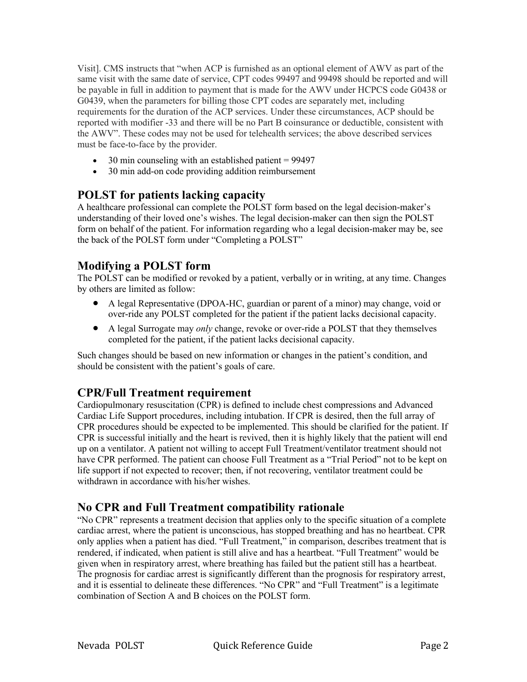Visit]. CMS instructs that "when ACP is furnished as an optional element of AWV as part of the same visit with the same date of service, CPT codes 99497 and 99498 should be reported and will be payable in full in addition to payment that is made for the AWV under HCPCS code G0438 or G0439, when the parameters for billing those CPT codes are separately met, including requirements for the duration of the ACP services. Under these circumstances, ACP should be reported with modifier -33 and there will be no Part B coinsurance or deductible, consistent with the AWV". These codes may not be used for telehealth services; the above described services must be face-to-face by the provider.

- 30 min counseling with an established patient  $= 99497$
- 30 min add-on code providing addition reimbursement

## **POLST for patients lacking capacity**

A healthcare professional can complete the POLST form based on the legal decision-maker's understanding of their loved one's wishes. The legal decision-maker can then sign the POLST form on behalf of the patient. For information regarding who a legal decision-maker may be, see the back of the POLST form under "Completing a POLST"

## **Modifying a POLST form**

The POLST can be modified or revoked by a patient, verbally or in writing, at any time. Changes by others are limited as follow:

- A legal Representative (DPOA-HC, guardian or parent of a minor) may change, void or over-ride any POLST completed for the patient if the patient lacks decisional capacity.
- A legal Surrogate may *only* change, revoke or over-ride a POLST that they themselves completed for the patient, if the patient lacks decisional capacity.

Such changes should be based on new information or changes in the patient's condition, and should be consistent with the patient's goals of care.

## **CPR/Full Treatment requirement**

Cardiopulmonary resuscitation (CPR) is defined to include chest compressions and Advanced Cardiac Life Support procedures, including intubation. If CPR is desired, then the full array of CPR procedures should be expected to be implemented. This should be clarified for the patient. If CPR is successful initially and the heart is revived, then it is highly likely that the patient will end up on a ventilator. A patient not willing to accept Full Treatment/ventilator treatment should not have CPR performed. The patient can choose Full Treatment as a "Trial Period" not to be kept on life support if not expected to recover; then, if not recovering, ventilator treatment could be withdrawn in accordance with his/her wishes.

## **No CPR and Full Treatment compatibility rationale**

"No CPR" represents a treatment decision that applies only to the specific situation of a complete cardiac arrest, where the patient is unconscious, has stopped breathing and has no heartbeat. CPR only applies when a patient has died. "Full Treatment," in comparison, describes treatment that is rendered, if indicated, when patient is still alive and has a heartbeat. "Full Treatment" would be given when in respiratory arrest, where breathing has failed but the patient still has a heartbeat. The prognosis for cardiac arrest is significantly different than the prognosis for respiratory arrest, and it is essential to delineate these differences. "No CPR" and "Full Treatment" is a legitimate combination of Section A and B choices on the POLST form.